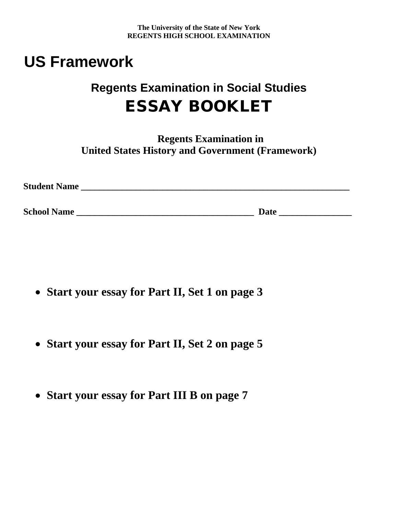**The University of the State of New York REGENTS HIGH SCHOOL EXAMINATION** 

## **US Framework**

## **Regents Examination in Social Studies**  ESSAY BOOKLET

**Regents Examination in United States History and Government (Framework)** 

| <b>Student Name</b> |      |
|---------------------|------|
|                     |      |
| <b>School Name</b>  | Date |

- **Start your essay for Part II, Set 1 on page 3**
- **Start your essay for Part II, Set 2 on page 5**
- **Start your essay for Part III B on page 7**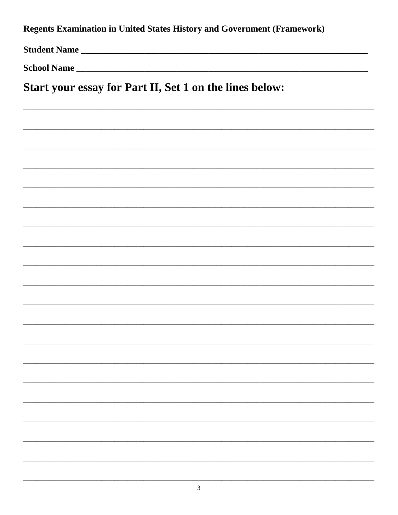Regents Examination in United States History and Government (Framework)

Student Name

Start your essay for Part II, Set 1 on the lines below: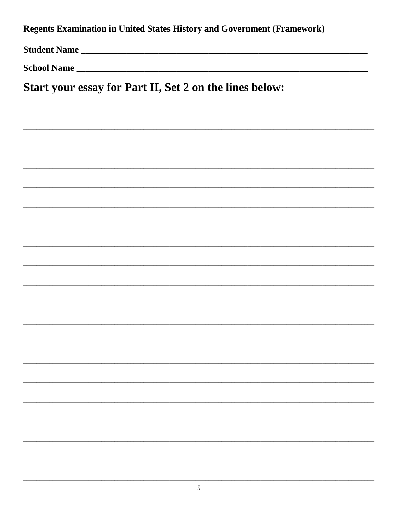Regents Examination in United States History and Government (Framework)

Student Name

School Name

Start your essay for Part II, Set 2 on the lines below: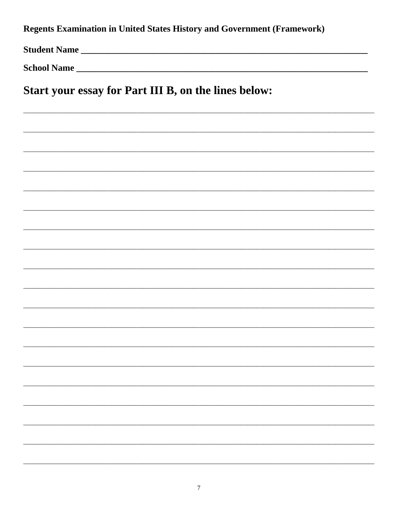Regents Examination in United States History and Government (Framework)

Student Name

Start your essay for Part III B, on the lines below: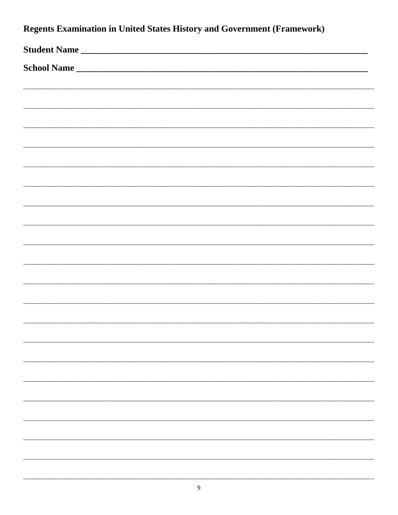| <b>Regents Examination in United States History and Government (Framework)</b> |  |  |  |  |
|--------------------------------------------------------------------------------|--|--|--|--|
| Student Name                                                                   |  |  |  |  |
| School Name                                                                    |  |  |  |  |
|                                                                                |  |  |  |  |
|                                                                                |  |  |  |  |
|                                                                                |  |  |  |  |
|                                                                                |  |  |  |  |
|                                                                                |  |  |  |  |
|                                                                                |  |  |  |  |
|                                                                                |  |  |  |  |
|                                                                                |  |  |  |  |
|                                                                                |  |  |  |  |
|                                                                                |  |  |  |  |
|                                                                                |  |  |  |  |
|                                                                                |  |  |  |  |
|                                                                                |  |  |  |  |
|                                                                                |  |  |  |  |
|                                                                                |  |  |  |  |
|                                                                                |  |  |  |  |
|                                                                                |  |  |  |  |
|                                                                                |  |  |  |  |
|                                                                                |  |  |  |  |
|                                                                                |  |  |  |  |
|                                                                                |  |  |  |  |
|                                                                                |  |  |  |  |